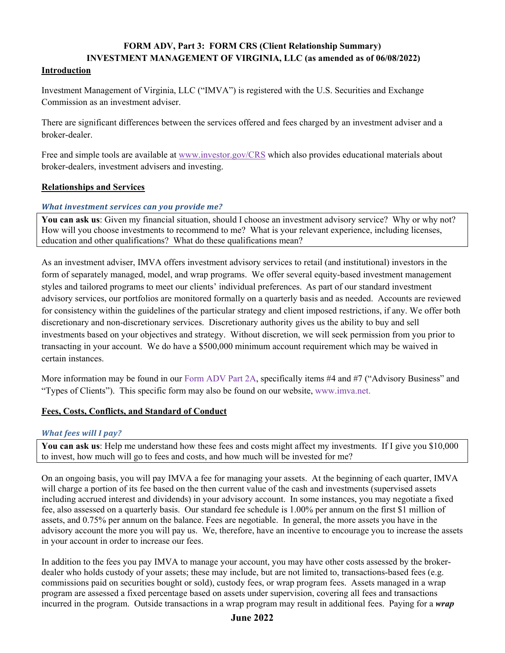# **FORM ADV, Part 3: FORM CRS (Client Relationship Summary) INVESTMENT MANAGEMENT OF VIRGINIA, LLC (as amended as of 06/08/2022)**

#### **Introduction**

Investment Management of Virginia, LLC ("IMVA") is registered with the U.S. Securities and Exchange Commission as an investment adviser.

There are significant differences between the services offered and fees charged by an investment adviser and a broker-dealer.

Free and simple tools are available at www.investor.gov/CRS which also provides educational materials about broker-dealers, investment advisers and investing.

## **Relationships and Services**

## *What investment services can you provide me?*

**You can ask us**: Given my financial situation, should I choose an investment advisory service? Why or why not? How will you choose investments to recommend to me? What is your relevant experience, including licenses, education and other qualifications? What do these qualifications mean?

As an investment adviser, IMVA offers investment advisory services to retail (and institutional) investors in the form of separately managed, model, and wrap programs. We offer several equity-based investment management styles and tailored programs to meet our clients' individual preferences. As part of our standard investment advisory services, our portfolios are monitored formally on a quarterly basis and as needed. Accounts are reviewed for consistency within the guidelines of the particular strategy and client imposed restrictions, if any. We offer both discretionary and non-discretionary services. Discretionary authority gives us the ability to buy and sell investments based on your objectives and strategy. Without discretion, we will seek permission from you prior to transacting in your account. We do have a \$500,000 minimum account requirement which may be waived in certain instances.

More information may be found in our Form ADV Part 2A, specifically items #4 and #7 ("Advisory Business" and "Types of Clients"). This specific form may also be found on our website, www.imva.net.

## **Fees, Costs, Conflicts, and Standard of Conduct**

## *What fees will I pay?*

**You can ask us**: Help me understand how these fees and costs might affect my investments. If I give you \$10,000 to invest, how much will go to fees and costs, and how much will be invested for me?

On an ongoing basis, you will pay IMVA a fee for managing your assets. At the beginning of each quarter, IMVA will charge a portion of its fee based on the then current value of the cash and investments (supervised assets including accrued interest and dividends) in your advisory account. In some instances, you may negotiate a fixed fee, also assessed on a quarterly basis. Our standard fee schedule is 1.00% per annum on the first \$1 million of assets, and 0.75% per annum on the balance. Fees are negotiable. In general, the more assets you have in the advisory account the more you will pay us. We, therefore, have an incentive to encourage you to increase the assets in your account in order to increase our fees.

In addition to the fees you pay IMVA to manage your account, you may have other costs assessed by the brokerdealer who holds custody of your assets; these may include, but are not limited to, transactions-based fees (e.g. commissions paid on securities bought or sold), custody fees, or wrap program fees. Assets managed in a wrap program are assessed a fixed percentage based on assets under supervision, covering all fees and transactions incurred in the program. Outside transactions in a wrap program may result in additional fees. Paying for a *wrap* 

## **June 2022**